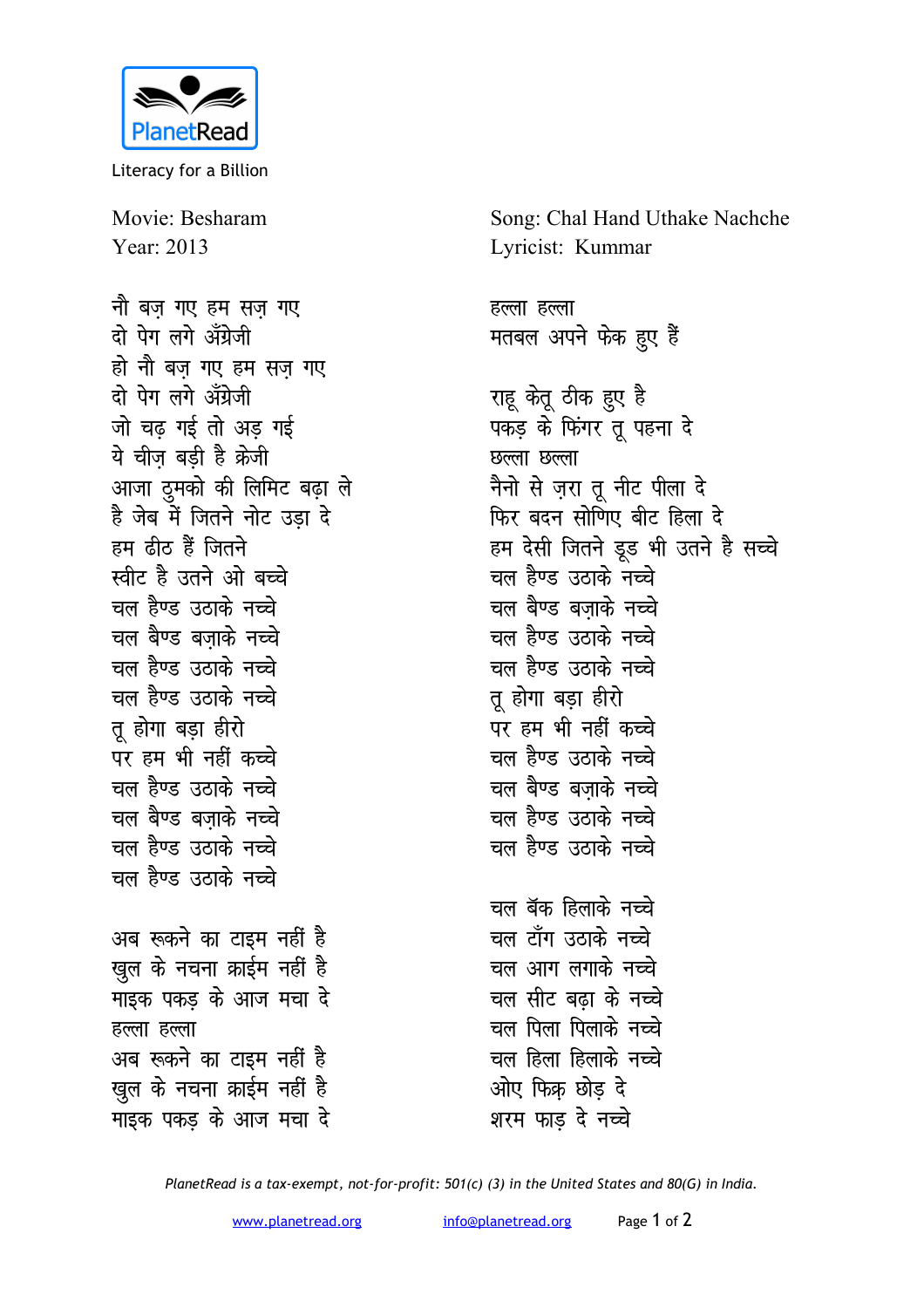

Literacy for a Billion

Movie: Besharam Year: 2013

नौ बज गए हम सज गए टो पेग लगे अँग्रेजी हो नौ बज गए हम सज़ गए दो पेग लगे अँग्रेजी जो चढ गई तो अड गई ये चीज बडी है क्रेजी आजा दुमको की लिमिट बढ़ा ले है जेब में जितने नोट उड़ा दे हम ढीठ हैं जितने स्वीट है उतने ओ बच्चे चल हैण्ड उठाके नच्चे चल बैण्ड बजाके नच्चे चल हैण्ड उठाके नच्चे चल हैण्ड उठाके नच्चे तू होगा बड़ा हीरो पर हम भी नहीं क<del>च्</del>चे चल हैण्ड उठाके नच्चे चल बैण्ड बजाके नच्चे चल हैण्ड उठाके नच्चे चल हैण्ड उठाके नच्चे अब रूकने का टाइम नहीं है खुल के नचना क्राईम नहीं है माइक पकड के आज मचा दे हल्ला हल्ला अब रूकने का टाइम नहीं है खुल के नचना क्राईम नहीं है माइक पकड के आज मचा दे

Song: Chal Hand Uthake Nachche Lyricist: Kummar

हल्ला हल्ला मतबल अपने फेक हुए हैं

राहू केतू ठीक हुए है पकड़ के फिंगर तू पहना दे छल्ला छल्ला नैनो से ज़रा तू नीट पीला दे फिर बदन सोणिए बीट हिला दे हम देसी जितने डूड भी उतने है सच्चे चल हैण्ड उठाके नच्चे चल बैण्ड बजाके नच्चे चल हैण्ड उठाके नच्चे चल हैण्ड उठाके नच्चे तु होगा बड़ा हीरो पर हम भी नहीं कच्चे चल हैण्ड उठाके नच्चे चल बैण्ड बजाके नच्चे चल हैण्ड उठाके नच्चे चल हैण्ड उठाके नच्चे चल बॅक हिलाके नच्चे चल टाँग उठाके नच्चे चल आग लगाके न<del>च्</del>चे चल सीट बढा के नच्चे चल पिला पिलाके नच्चे चल हिला हिलाके नच्चे ओए फिक्र छोड दे शरम फाड दे नच्चे

PlanetRead is a tax-exempt, not-for-profit: 501(c) (3) in the United States and 80(G) in India.